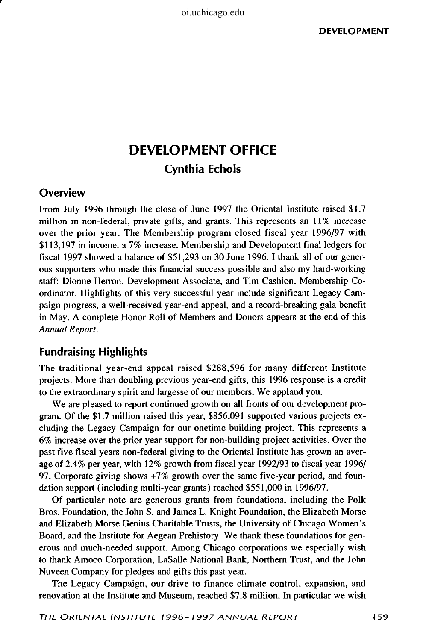# **DEVELOPMENT OFFICE Cynthia Echols**

### **Overview**

From July 1996 through the close of June 1997 the Oriental Institute raised \$1.7 million in non-federal, private gifts, and grants. This represents an 11% increase over the prior year. The Membership program closed fiscal year 1996/97 with \$113,197 in income, a 7% increase. Membership and Development final ledgers for fiscal 1997 showed a balance of \$51,293 on 30 June 1996.1 thank all of our generous supporters who made this financial success possible and also my hard-working staff: Dionne Herron, Development Associate, and Tim Cashion, Membership Coordinator. Highlights of this very successful year include significant Legacy Campaign progress, a well-received year-end appeal, and a record-breaking gala benefit in May. A complete Honor Roll of Members and Donors appears at the end of this *Annual Report.* 

## **Fundraising Highlights**

The traditional year-end appeal raised \$288,596 for many different Institute projects. More than doubling previous year-end gifts, this 1996 response is a credit to the extraordinary spirit and largesse of our members. We applaud you.

We are pleased to report continued growth on all fronts of our development program. Of the \$1.7 million raised this year, \$856,091 supported various projects excluding the Legacy Campaign for our onetime building project. This represents a 6% increase over the prior year support for non-building project activities. Over the past five fiscal years non-federal giving to the Oriental Institute has grown an average of 2.4% per year, with 12% growth from fiscal year 1992/93 to fiscal year 1996/ 97. Corporate giving shows +7% growth over the same five-year period, and foundation support (including multi-year grants) reached \$551,000 in 1996/97.

Of particular note are generous grants from foundations, including the Polk Bros. Foundation, the John S. and James L. Knight Foundation, the Elizabeth Morse and Elizabeth Morse Genius Charitable Trusts, the University of Chicago Women's Board, and the Institute for Aegean Prehistory. We thank these foundations for generous and much-needed support. Among Chicago corporations we especially wish to thank Amoco Corporation, LaSalle National Bank, Northern Trust, and the John Nuveen Company for pledges and gifts this past year.

The Legacy Campaign, our drive to finance climate control, expansion, and renovation at the Institute and Museum, reached \$7.8 million. In particular we wish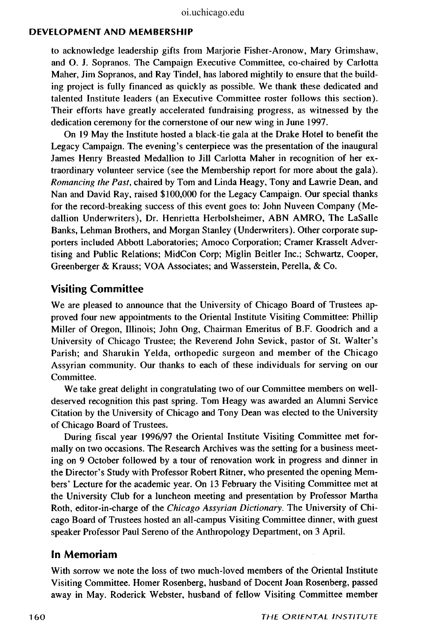#### **DEVELOPMENT AND MEMBERSHIP**

to acknowledge leadership gifts from Marjorie Fisher-Aronow, Mary Grimshaw, and O. J. Sopranos. The Campaign Executive Committee, co-chaired by Carlotta Maher, Jim Sopranos, and Ray Tindel, has labored mightily to ensure that the building project is fully financed as quickly as possible. We thank these dedicated and talented Institute leaders (an Executive Committee roster follows this section). Their efforts have greatly accelerated fundraising progress, as witnessed by the dedication ceremony for the cornerstone of our new wing in June 1997.

On 19 May the Institute hosted a black-tie gala at the Drake Hotel to benefit the Legacy Campaign. The evening's centerpiece was the presentation of the inaugural James Henry Breasted Medallion to Jill Carlotta Maher in recognition of her extraordinary volunteer service (see the Membership report for more about the gala). *Romancing the Past,* chaired by Tom and Linda Heagy, Tony and Lawrie Dean, and Nan and David Ray, raised \$100,000 for the Legacy Campaign. Our special thanks for the record-breaking success of this event goes to: John Nuveen Company (Medallion Underwriters), Dr. Henrietta Herbolsheimer, ABN AMRO, The LaSalle Banks, Lehman Brothers, and Morgan Stanley (Underwriters). Other corporate supporters included Abbott Laboratories; Amoco Corporation; Cramer Krasselt Advertising and Public Relations; MidCon Corp; Miglin Beitler Inc.; Schwartz, Cooper, Greenberger & Krauss; VOA Associates; and Wasserstein, Perella, & Co.

# **Visiting Committee**

We are pleased to announce that the University of Chicago Board of Trustees approved four new appointments to the Oriental Institute Visiting Committee: Phillip Miller of Oregon, Illinois; John Ong, Chairman Emeritus of B.F. Goodrich and a University of Chicago Trustee; the Reverend John Sevick, pastor of St. Walter's Parish; and Sharukin Yelda, orthopedic surgeon and member of the Chicago Assyrian community. Our thanks to each of these individuals for serving on our Committee.

We take great delight in congratulating two of our Committee members on welldeserved recognition this past spring. Tom Heagy was awarded an Alumni Service Citation by the University of Chicago and Tony Dean was elected to the University of Chicago Board of Trustees.

During fiscal year 1996/97 the Oriental Institute Visiting Committee met formally on two occasions. The Research Archives was the setting for a business meeting on 9 October followed by a tour of renovation work in progress and dinner in the Director's Study with Professor Robert Ritner, who presented the opening Members' Lecture for the academic year. On 13 February the Visiting Committee met at the University Club for a luncheon meeting and presentation by Professor Martha Roth, editor-in-charge of the *Chicago Assyrian Dictionary.* The University of Chicago Board of Trustees hosted an all-campus Visiting Committee dinner, with guest speaker Professor Paul Sereno of the Anthropology Department, on 3 April.

## **In Memoriam**

With sorrow we note the loss of two much-loved members of the Oriental Institute Visiting Committee. Homer Rosenberg, husband of Docent Joan Rosenberg, passed away in May. Roderick Webster, husband of fellow Visiting Committee member